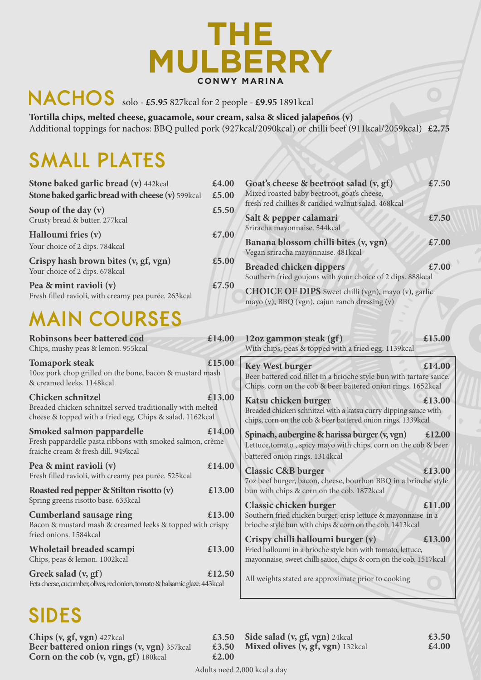

# **NACHOS** solo - **£5.95** 827kcal for 2 people - **£9.95** 1891kcal

**Tortilla chips, melted cheese, guacamole, sour cream, salsa & sliced jalapeños (v)** Additional toppings for nachos: BBQ pulled pork (927kcal/2090kcal) or chilli beef (911kcal/2059kcal) **£2.75**

# **SMALL PLATES**

| Stone baked garlic bread (v) 442kcal<br>Stone baked garlic bread with cheese (v) 599kcal | £4.00<br>£5.00 | Goat's cheese & beetroot salad (v, gf)<br>Mixed roasted baby beetroot, goat's cheese,<br>fresh red chillies & candied walnut salad. 468kcal | £7.50 |
|------------------------------------------------------------------------------------------|----------------|---------------------------------------------------------------------------------------------------------------------------------------------|-------|
| Soup of the day $(v)$<br>Crusty bread & butter. 277kcal                                  | £5.50          | Salt & pepper calamari<br>Sriracha mayonnaise. 544kcal                                                                                      | £7.50 |
| Halloumi fries (v)<br>Your choice of 2 dips. 784kcal                                     | £7.00          | Banana blossom chilli bites (v, vgn)<br>Vegan sriracha mayonnaise. 481 kcal                                                                 | £7.00 |
| Crispy hash brown bites (v, gf, vgn)<br>Your choice of 2 dips. 678kcal                   | £5.00          | <b>Breaded chicken dippers</b><br>Southern fried goujons with your choice of 2 dips. 888kcal                                                | £7.00 |
| Pea & mint ravioli (v)<br>Fresh filled ravioli, with creamy pea purée. 263kcal           | £7.50          | <b>CHOICE OF DIPS</b> Sweet chilli (vgn), mayo (v), garlic<br>mayo (v), BBQ (vgn), cajun ranch dressing (v)                                 |       |

# **MAIN COURSES**

| Robinsons beer battered cod<br>Chips, mushy peas & lemon. 955kcal                                                                            | £14.00 | 12oz gammon steak (gf)<br>With chips, peas & topped with a fried egg. 1139kcal                                                                                        | £15.00 |
|----------------------------------------------------------------------------------------------------------------------------------------------|--------|-----------------------------------------------------------------------------------------------------------------------------------------------------------------------|--------|
| <b>Tomapork steak</b><br>10oz pork chop grilled on the bone, bacon & mustard mash<br>& creamed leeks. 1148kcal                               | £15.00 | <b>Key West burger</b><br>Beer battered cod fillet in a brioche style bun with tartare sauce.<br>Chips, corn on the cob & beer battered onion rings. 1652kcal         | £14.00 |
| Chicken schnitzel<br>Breaded chicken schnitzel served traditionally with melted<br>cheese & topped with a fried egg. Chips & salad. 1162kcal | £13.00 | Katsu chicken burger<br>Breaded chicken schnitzel with a katsu curry dipping sauce with<br>chips, corn on the cob & beer battered onion rings. 1339kcal               | £13.00 |
| Smoked salmon pappardelle<br>Fresh pappardelle pasta ribbons with smoked salmon, crème<br>fraiche cream & fresh dill. 949kcal                | £14.00 | Spinach, aubergine & harissa burger (v, vgn)<br>Lettuce, tomato, spicy mayo with chips, corn on the cob & beer<br>battered onion rings. 1314kcal                      | £12.00 |
| Pea & mint ravioli (v)<br>Fresh filled ravioli, with creamy pea purée. 525kcal                                                               | £14.00 | <b>Classic C&amp;B burger</b><br>7oz beef burger, bacon, cheese, bourbon BBQ in a brioche style                                                                       | £13.00 |
| Roasted red pepper & Stilton risotto (v)<br>Spring greens risotto base. 633kcal                                                              | £13.00 | bun with chips & corn on the cob. 1872kcal                                                                                                                            |        |
| <b>Cumberland sausage ring</b><br>Bacon & mustard mash & creamed leeks & topped with crispy                                                  | £13.00 | Classic chicken burger<br>Southern fried chicken burger, crisp lettuce & mayonnaise in a<br>brioche style bun with chips & corn on the cob. 1413kcal                  | £11.00 |
| fried onions. 1584kcal<br>Wholetail breaded scampi<br>Chips, peas & lemon. 1002kcal                                                          | £13.00 | Crispy chilli halloumi burger (v)<br>Fried halloumi in a brioche style bun with tomato, lettuce,<br>mayonnaise, sweet chilli sauce, chips & corn on the cob. 1517kcal | £13.00 |
| Greek salad (v, gf)<br>Feta cheese, cucumber, olives, red onion, tomato & balsamic glaze. 443 kcal                                           | £12.50 | All weights stated are approximate prior to cooking                                                                                                                   |        |

# **SIDES**

| Chips $(v, gf, vgn)$ 427 kcal               | £3.50 |
|---------------------------------------------|-------|
| Beer battered onion rings (v, vgn) 357kcal  | £3.50 |
| <b>Corn on the cob (v, vgn, gf)</b> 180kcal | £2.00 |

**Side salad (v, gf, vgn)** 24kcal **£3.50 Mixed olives (v, gf, vgn)** 132kcal **£4.00**